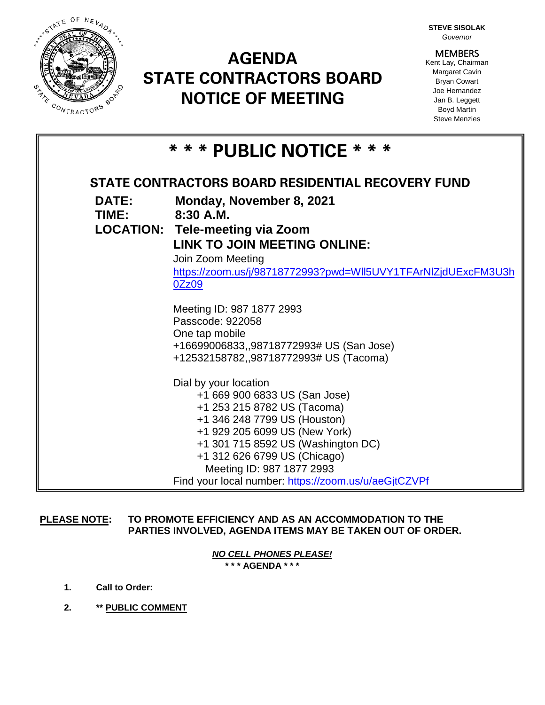

## **AGENDA STATE CONTRACTORS BOARD NOTICE OF MEETING**

**STEVE SISOLAK** *Governor*

**MEMBERS** Kent Lay, Chairman Margaret Cavin Bryan Cowart Joe Hernandez Jan B. Leggett Boyd Martin Steve Menzies

| * * * PUBLIC NOTICE * * *                         |                                                               |
|---------------------------------------------------|---------------------------------------------------------------|
| STATE CONTRACTORS BOARD RESIDENTIAL RECOVERY FUND |                                                               |
| <b>DATE:</b><br>TIME:                             | Monday, November 8, 2021<br>$8:30$ A.M.                       |
|                                                   | <b>LOCATION: Tele-meeting via Zoom</b>                        |
|                                                   | LINK TO JOIN MEETING ONLINE:                                  |
|                                                   | Join Zoom Meeting                                             |
|                                                   | https://zoom.us/j/98718772993?pwd=WII5UVY1TFArNIZjdUExcFM3U3h |
|                                                   | 0Zz09                                                         |
|                                                   | Meeting ID: 987 1877 2993                                     |
|                                                   | Passcode: 922058                                              |
|                                                   | One tap mobile                                                |
|                                                   | +16699006833,,98718772993# US (San Jose)                      |
|                                                   | +12532158782,,98718772993# US (Tacoma)                        |
|                                                   | Dial by your location                                         |
|                                                   | +1 669 900 6833 US (San Jose)                                 |
|                                                   | +1 253 215 8782 US (Tacoma)                                   |
|                                                   | +1 346 248 7799 US (Houston)                                  |
|                                                   | +1 929 205 6099 US (New York)                                 |
|                                                   | +1 301 715 8592 US (Washington DC)                            |
|                                                   | +1 312 626 6799 US (Chicago)                                  |
|                                                   | Meeting ID: 987 1877 2993                                     |
|                                                   | Find your local number: https://zoom.us/u/aeGjtCZVPf          |

**PLEASE NOTE: TO PROMOTE EFFICIENCY AND AS AN ACCOMMODATION TO THE PARTIES INVOLVED, AGENDA ITEMS MAY BE TAKEN OUT OF ORDER.**

> *NO CELL PHONES PLEASE!*  **\* \* \* AGENDA \* \* \***

- **1. Call to Order:**
- **2. \*\* PUBLIC COMMENT**